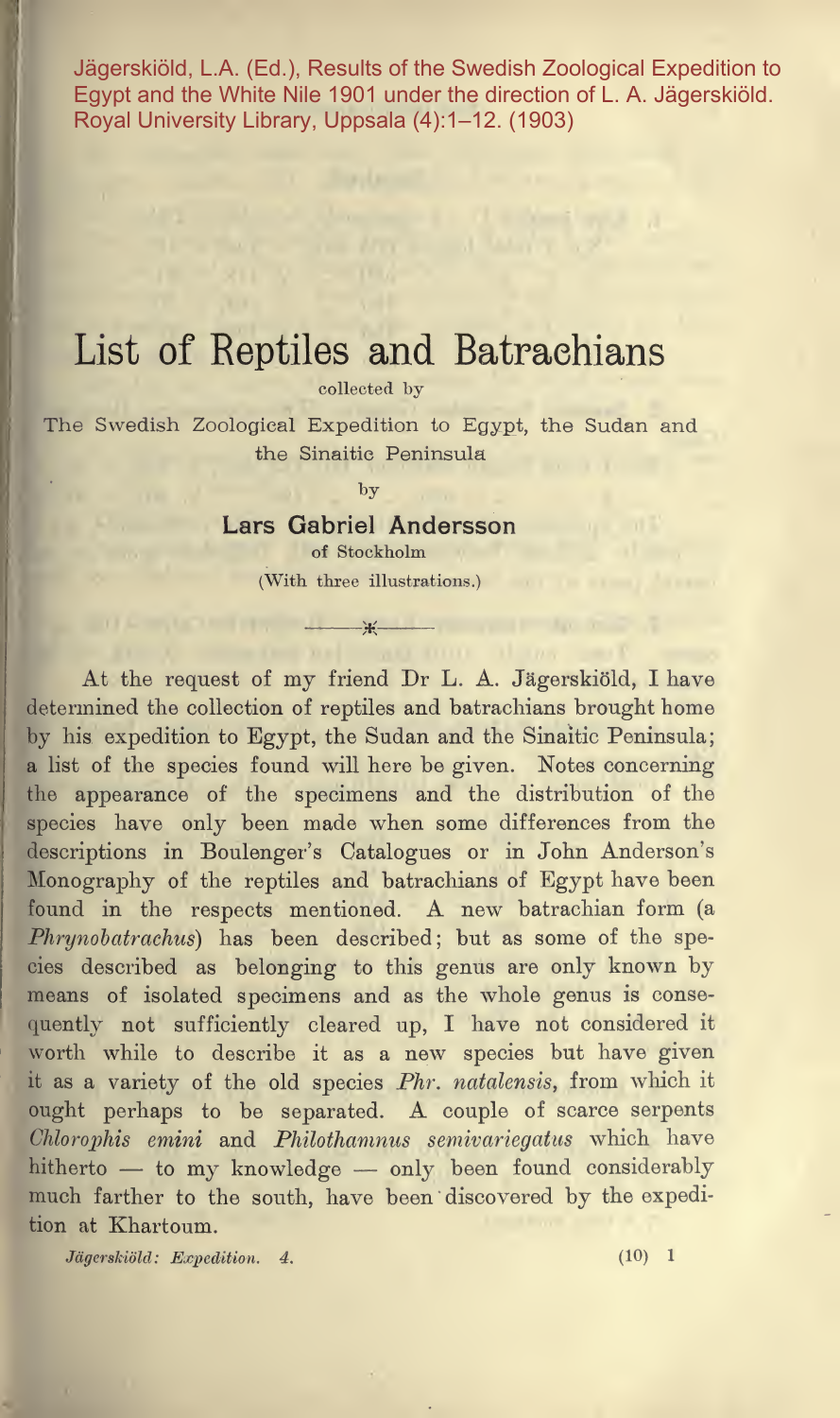Jägerskiöld, L.A. (Ed.), Results of the Swedish Zoological Expedition to Egypt and the White Nile 1901 under the direction of L. A. Jägerskiöld. Royal University Library, Uppsala (4):1–12. (1903)

# List of Reptiles and Batraehians

collected by

The Swedish Zoological Expedition to Egypt, the Sudan and the Sinaitie Peninsula

by

#### Lars Gabriel Andersson of Stockholm

(With three illustrations.)

\_ .){(.—J—

in it as were

At the request of my friend Dr L. A. Jagerskiold, <sup>I</sup> have determined the collection of reptiles and batraehians brought home by his expedition to Egypt, the Sudan and the Sinaitie Peninsula; <sup>a</sup> list of the species found will here be given. Notes concerning the appearance of the specimens and the distribution of the species have only been made when some differences from the descriptions in Boulenger's Catalogues or in John Anderson's Monography of the reptiles and batraehians of Egypt have been found in the respects mentioned. A new batrachian form (a Phrynobatrachus) has been described; but as some of the species described as belonging to this genus are only known by means of isolated specimens and as the whole genus is consequently not sufficiently cleared up, I have not considered it worth while to describe it as <sup>a</sup> new species but have given it as <sup>a</sup> variety of the old species Phr. natalensis, from which it ought perhaps to be separated. A couple of scarce serpents Chlorophis emini and Philothamnus semivariegatus which have hitherto — to my knowledge — only been found considerably much farther to the south, have been discovered by the expedition at Khartoum.

Jagerskiold: Expedition. 4. (10) <sup>1</sup>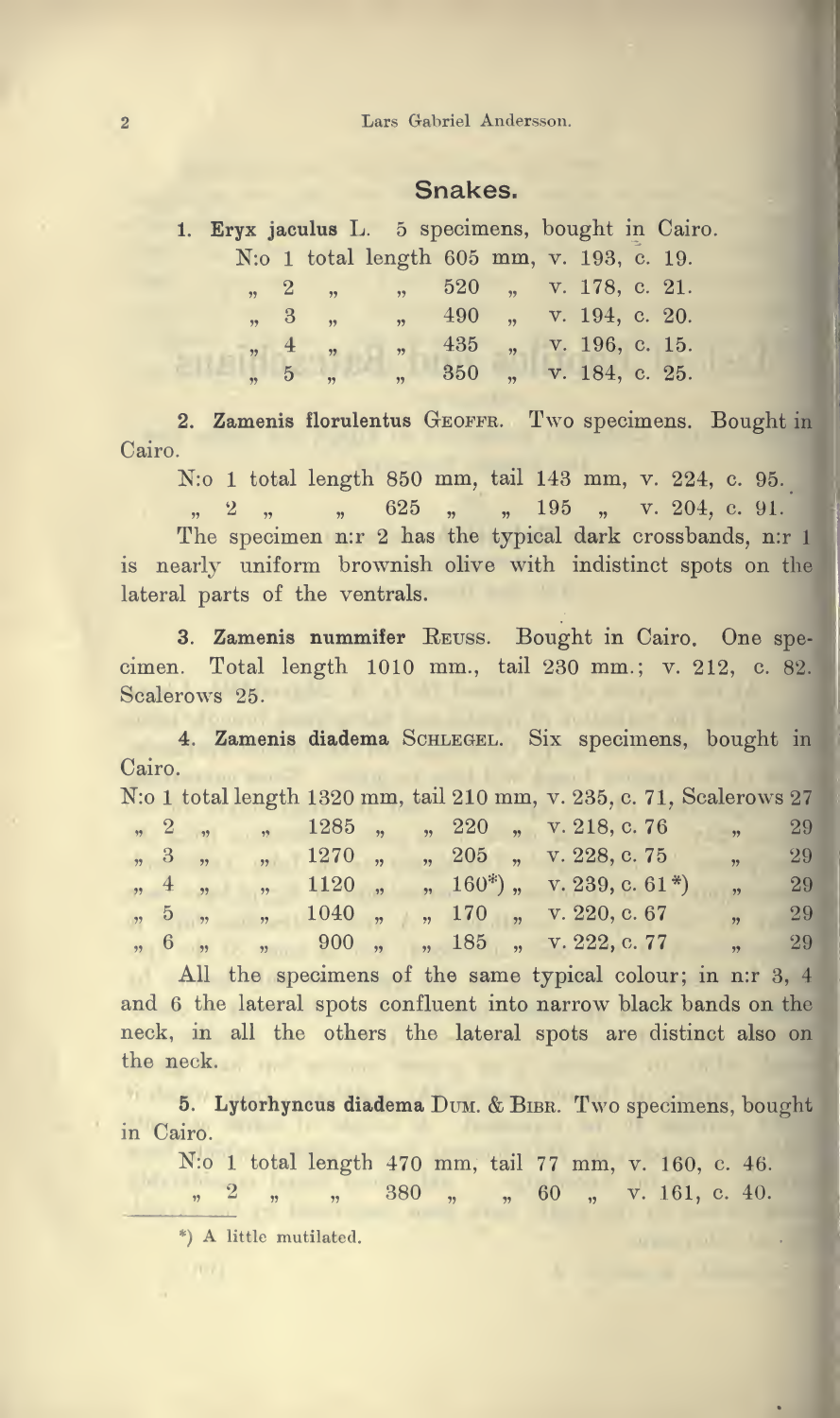#### Snakes.

|  |            |                       | 1. Eryx jaculus L. 5 specimens, bought in Cairo. |                        |  |  |  |
|--|------------|-----------------------|--------------------------------------------------|------------------------|--|--|--|
|  |            |                       | N:o 1 total length 605 mm, v. 193, c. 19.        |                        |  |  |  |
|  |            | $\sqrt{2}$ $\sqrt{2}$ | $\frac{1}{2}$ , 520, v. 178, c. 21.              |                        |  |  |  |
|  | $\sqrt{3}$ |                       | $\frac{1}{2}$ , 490, v. 194, c. 20.              |                        |  |  |  |
|  | , 4        | , 2, 3                | $\overline{\mathbf{y}}$                          | 435 , v. 196, c. 15.   |  |  |  |
|  |            | $\frac{1}{2}$ , 5,    |                                                  | " 350 " v. 184, c. 25. |  |  |  |

2. Zamenis florulentus GEOFFR. Two specimens. Bought in Cairo.

N:o 1 total length 850 mm, tail 143 mm, v. 224, c. 95.

 $\frac{2}{\pi}$  ,  $\frac{2}{\pi}$  ,  $\frac{25}{\pi}$  ,  $\frac{195}{\pi}$  ,  $\frac{204}{\pi}$  c. 91. The specimen n:r 2 has the typical dark crossbands, n:r 1 is nearly uniform brownish olive with indistinct spots on the lateral parts of the ventrals.

3. Zamenis nummifer Reuss. Bought in Cairo. One spe cimen. Total length 1010 mm., tail 230 mm.; v. 212, c. 82. Scalerows 25.

4. Zamenis diadema SCHLEGEL. Six specimens, bought in Cairo.<br>Note total

|  |                                 |                                                                                                                        |  |  |  |  | N:0 1 total length 1320 mm, tail 210 mm, v. 235, c. 71, Scalerows 27 |    |
|--|---------------------------------|------------------------------------------------------------------------------------------------------------------------|--|--|--|--|----------------------------------------------------------------------|----|
|  |                                 |                                                                                                                        |  |  |  |  | , 2, , 1285, , 220, v. 218, c. 76, , 29                              |    |
|  |                                 | , 3, , , 1270, , 205, v. 228, c. 75                                                                                    |  |  |  |  | $\frac{1}{29}$                                                       |    |
|  |                                 | , 4 , , 1120 , , 160 <sup>*</sup> ), v. 239, c. 61 <sup>*</sup> )                                                      |  |  |  |  |                                                                      | 29 |
|  | $\frac{1}{22}$ , $\frac{5}{22}$ | $\frac{1040}{\pi}$ , $\frac{170}{\pi}$ , $\frac{170}{\pi}$ , $\frac{170}{\pi}$ , $\frac{1220}{\pi}$ , $\frac{67}{\pi}$ |  |  |  |  | $\frac{29}{2}$                                                       |    |
|  |                                 | $6 \t 900 \t 185 \t v 222 \t c 77$                                                                                     |  |  |  |  | 99                                                                   |    |

All the specimens of the same typical colour; in n:r 3, 4 and 6 the lateral spots confluent into narrow black bands on the neck, in all the others the lateral spots are distinct also on the neck.

5. Lytorhyncus diadema DUM. & BIBR. Two specimens, bought in Cairo.

N:o 1 total length 470 mm, tail 77 mm, v. 160, c. 46.

380 , , , 60 , v. 161, c. 40.  $\frac{1}{2}$   $\frac{2}{2}$  $\rightarrow$ 

\*) A little mutilated.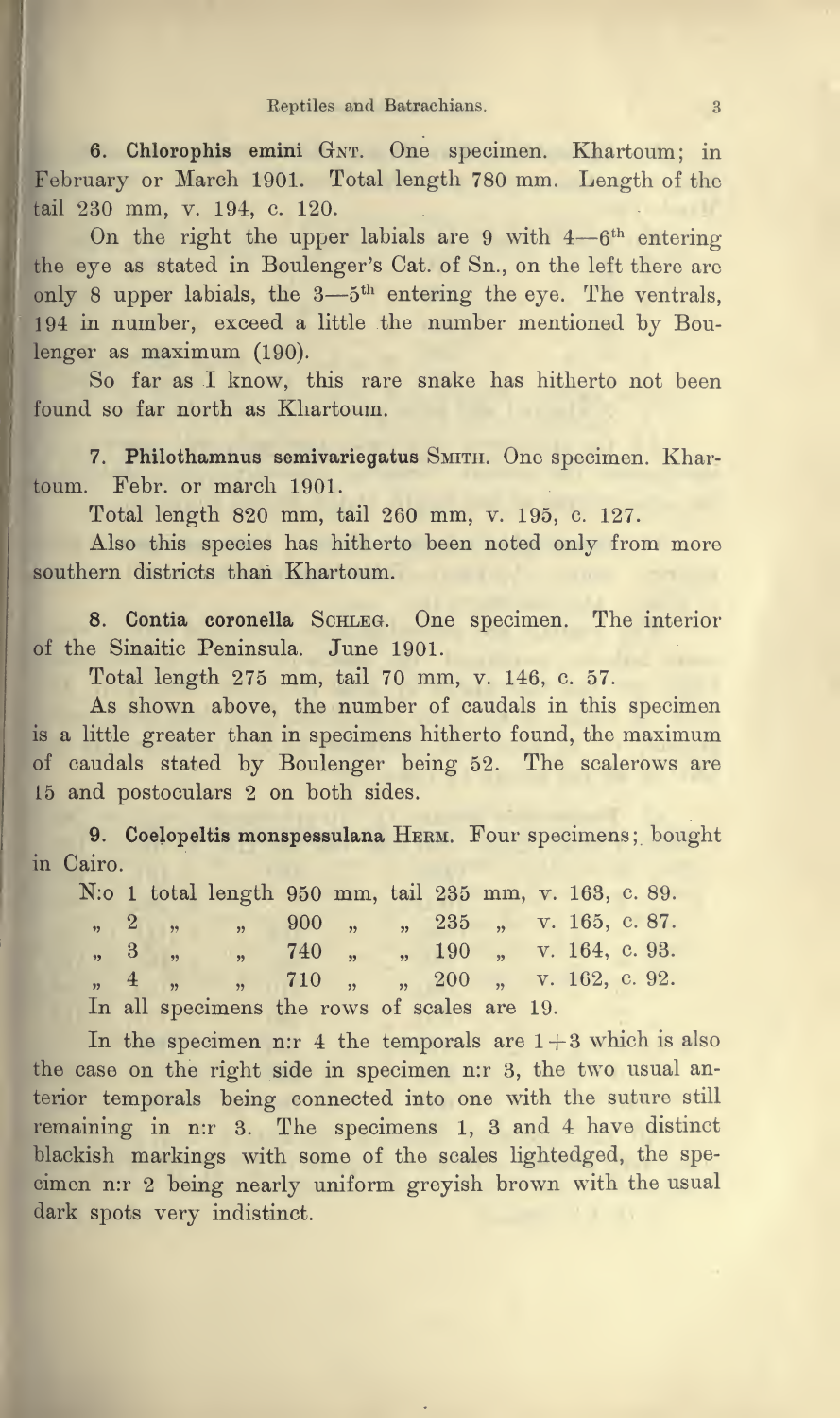6. Chlorophis emini GNT. One specimen. Khartoum; in February or March 1901. Total length <sup>780</sup> mm. Length of the tail 230 mm, v. 194, c. 120.

On the right the upper labials are 9 with  $4-6$ <sup>th</sup> entering the eye as stated in Boulenger's Cat. of Sn., on the left there are only 8 upper labials, the 3—5<sup>th</sup> entering the eye. The ventrals, <sup>194</sup> in number, exceed <sup>a</sup> little the number mentioned by Boulenger as maximum (190).

So far as <sup>I</sup> know, this rare snake has hitherto not been found so far north as Khartoum.

7. Philothamnus semivariegatus SMITH. One specimen. Khartoum. Febr. or march 1901.

Total length 820 mm, tail 260 mm, v. 195, c. 127.

Also this species has hitherto been noted only from more southern districts than Khartoum.

8. Contia coronella SCHLEG. One specimen. The interior of the Sinaitic Peninsula. June 1901.

Total length 275 mm, tail 70 mm, v. 146, c. 57.

As shown above, the number of caudals in this specimen is <sup>a</sup> little greater than in specimens hitherto found, the maximum of caudals stated by Boulenger being 52. The scalerows are <sup>15</sup> and postoculars <sup>2</sup> on both sides.

9. Coelopeltis monspessulana HERM. Four specimens; bought in Cairo.

|  | N: 0 1 total length 950 mm, tail 235 mm, v. 163, c. 89.                                                                                                                                                                                                                                                             |  |  |  |  |  |
|--|---------------------------------------------------------------------------------------------------------------------------------------------------------------------------------------------------------------------------------------------------------------------------------------------------------------------|--|--|--|--|--|
|  | $\frac{1}{2}$ , $\frac{2}{2}$ , $\frac{1}{2}$ , $\frac{900}{2}$ , $\frac{1}{235}$ , $\frac{165}{256}$ c. 87.                                                                                                                                                                                                        |  |  |  |  |  |
|  | , 3, , 740, , 190, v. 164, c. 93.                                                                                                                                                                                                                                                                                   |  |  |  |  |  |
|  | $\frac{1}{2}$ $\frac{1}{2}$ $\frac{1}{2}$ $\frac{1}{2}$ $\frac{1}{2}$ $\frac{1}{2}$ $\frac{1}{2}$ $\frac{1}{2}$ $\frac{1}{2}$ $\frac{1}{2}$ $\frac{1}{2}$ $\frac{1}{2}$ $\frac{1}{2}$ $\frac{1}{2}$ $\frac{1}{2}$ $\frac{1}{2}$ $\frac{1}{2}$ $\frac{1}{2}$ $\frac{1}{2}$ $\frac{1}{2}$ $\frac{1}{2}$ $\frac{1}{2}$ |  |  |  |  |  |
|  | In all specimens the rows of scales are 19.                                                                                                                                                                                                                                                                         |  |  |  |  |  |

In the specimen n:r 4 the temporals are  $1+3$  which is also the case on the right side in specimen n:r 3, the two usual anterior temporals being connected into one with the suture still remaining in n:r 3. The specimens 1, <sup>3</sup> and <sup>4</sup> have distinct blackish markings with some of the scales lightedged, the spe cimen n:r <sup>2</sup> being nearly uniform greyish brown with the usual dark spots very indistinct.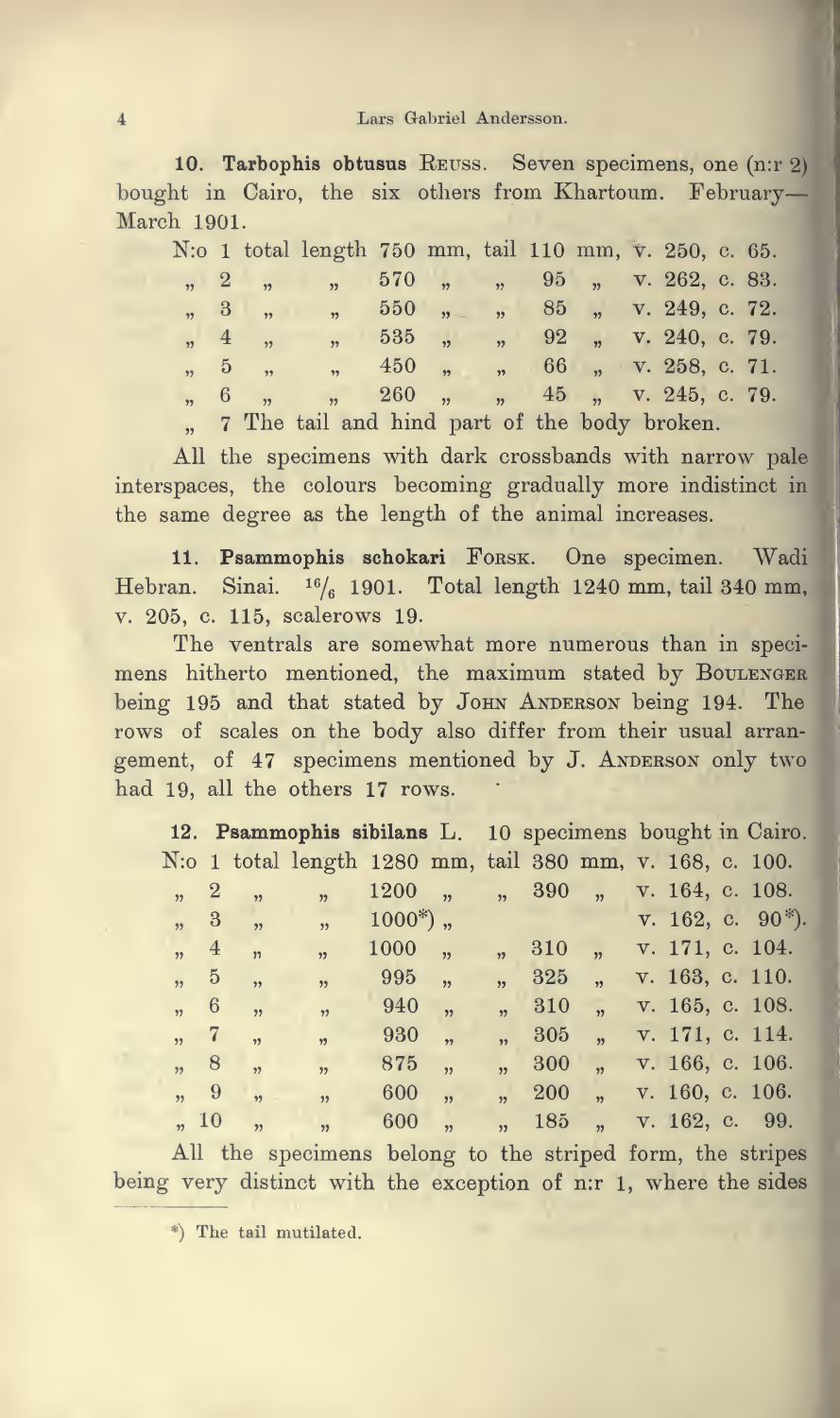10. Tarbophis obtusus REUSS. Seven specimens, one (n:r 2) bought in Cairo, the six others from Khartoum. February— March 1901.

|  | N: 0 1 total length 750 mm, tail 110 mm, v. 250, c. 65.                                                                                                                                                                                                                                                   |  |  |  |  |  |
|--|-----------------------------------------------------------------------------------------------------------------------------------------------------------------------------------------------------------------------------------------------------------------------------------------------------------|--|--|--|--|--|
|  | ,, 2, , 570, , 95, v. 262, c. 83.                                                                                                                                                                                                                                                                         |  |  |  |  |  |
|  | $\frac{1}{2}$ , $\frac{3}{2}$ , $\frac{1}{2}$ , $\frac{550}{2}$ , $\frac{1}{2}$ , $\frac{85}{2}$ , $\frac{1}{2}$ , $\frac{249}{2}$ , c. 72.                                                                                                                                                               |  |  |  |  |  |
|  | $\frac{1}{2}$ , $\frac{1}{2}$ , $\frac{1}{2}$ , $\frac{1}{2}$ , $\frac{1}{2}$ , $\frac{1}{2}$ , $\frac{1}{2}$ , $\frac{1}{2}$ , $\frac{1}{2}$ , $\frac{1}{2}$ , $\frac{1}{2}$ , $\frac{1}{2}$ , $\frac{1}{2}$ , $\frac{1}{2}$ , $\frac{1}{2}$ , $\frac{1}{2}$ , $\frac{1}{2}$ , $\frac{1}{2}$ , $\frac{1$ |  |  |  |  |  |
|  | $\frac{1}{2}$ , 5, $\frac{1}{2}$ , $\frac{450}{2}$ , $\frac{1}{2}$ , $\frac{66}{2}$ , $\frac{1}{2}$ , $\frac{258}{2}$ , c. 71.                                                                                                                                                                            |  |  |  |  |  |
|  | " 6 " " 260 " " 45 " v. 245, c. 79.                                                                                                                                                                                                                                                                       |  |  |  |  |  |
|  | $-$ m $-$ 1 1 1 $-$ 1 $-$ 1 $-$ 1 $-$ 1 $-$ 1 $-$ 1 $-$ 1 $-$ 1 $-$ 1 $-$ 1 $-$ 1 $-$ 1 $-$ 1 $-$ 1 $-$ 1 $-$ 1 $-$ 1 $-$ 1 $-$ 1 $-$ 1 $-$ 1 $-$ 1 $-$ 1 $-$ 1 $-$ 1 $-$ 1 $-$ 1 $-$ 1 $-$ 1 $-$ 1 $-$ 1 $-$ 1 $-$ 1 $-$ 1                                                                               |  |  |  |  |  |

" 7 The tail and hind part of the body broken.

All the specimens with dark crossbands with narrow pale interspaces, the colours becoming gradually more indistinct in the same degree as the length of the animal increases.

11. Psammophis schokari FORSK. One specimen. Wadi Hebran. Sinai.  $16/6$  1901. Total length 1240 mm, tail 340 mm, v. 205, c. 115, scalerows 19.

The ventrals are somewhat more numerous than in specimens hitherto mentioned, the maximum stated by BOULENGER being 195 and that stated by JOHN ANDERSON being 194. The rows of scales on the body also differ from their usual arrangement, of 47 specimens mentioned by J. ANDERSON only two had 19, all the others 17 rows.

|      |                          | 12. Psammophis sibilans L. 10 specimens bought in Cairo. |            |                          |                                    |                      |                 |                                 |
|------|--------------------------|----------------------------------------------------------|------------|--------------------------|------------------------------------|----------------------|-----------------|---------------------------------|
|      |                          | N: 01 total length 1280 mm, tail 380 mm, v. 168, c. 100. |            |                          |                                    |                      |                 |                                 |
| , 2  | 55                       | $\overline{\mathbf{33}}$                                 | 1200,      |                          | $\frac{1}{2}$ , 390, $\frac{1}{2}$ |                      | v. 164, c. 108. |                                 |
| , 3  | $\overline{\phantom{a}}$ | $\overline{\phantom{a}}$                                 | $1000^*$ , |                          |                                    |                      |                 | $v. 162, c. 90$ <sup>*</sup> ). |
| , 4  |                          | $\overline{y_2}$ , $\overline{y_2}$                      | 1000       | $\overline{\phantom{a}}$ | 310                                | v. 171, c. 104.      |                 |                                 |
| , 5  | ,                        | , 2)                                                     | 995        | $\overline{\phantom{a}}$ | 325                                | $\sim$               | v. 163, c. 110. |                                 |
| , 6  | $\overline{1}$           | , 9                                                      | 940        | , 9                      | 310                                | $\ddot{\mathbf{r}}$  | v. 165, c. 108. |                                 |
| , 7  | $\ddot{\mathbf{v}}$      | $\overline{\phantom{a}}$                                 | 930        | $\overline{\mathbf{1}}$  | 305                                | $\frac{1}{2}$        | v. 171, c. 114. |                                 |
| , 8  | , 2                      | $\overline{\mathbf{32}}$                                 | 875        | ,                        | 300                                | $\ddot{\phantom{0}}$ | v. 166, c. 106. |                                 |
| , 9  | $\overline{\mathbf{1}}$  | $\overline{\mathbf{32}}$                                 | 600        | $\overline{\mathbf{1}}$  | <b>200</b>                         | $\ddot{ }$           | v. 160, c. 106. |                                 |
| , 10 | $\overline{\mathbf{1}}$  | $\overline{\mathbf{32}}$                                 | 600        | , 99                     | 185 <sup>°</sup>                   | $\overline{1}$       | v. 162, c. 99.  |                                 |

All the specimens belong to the striped form, the stripes being very distinct with the exception of n:r 1, where the sides

\*) The tail mutilated.

 $\overline{4}$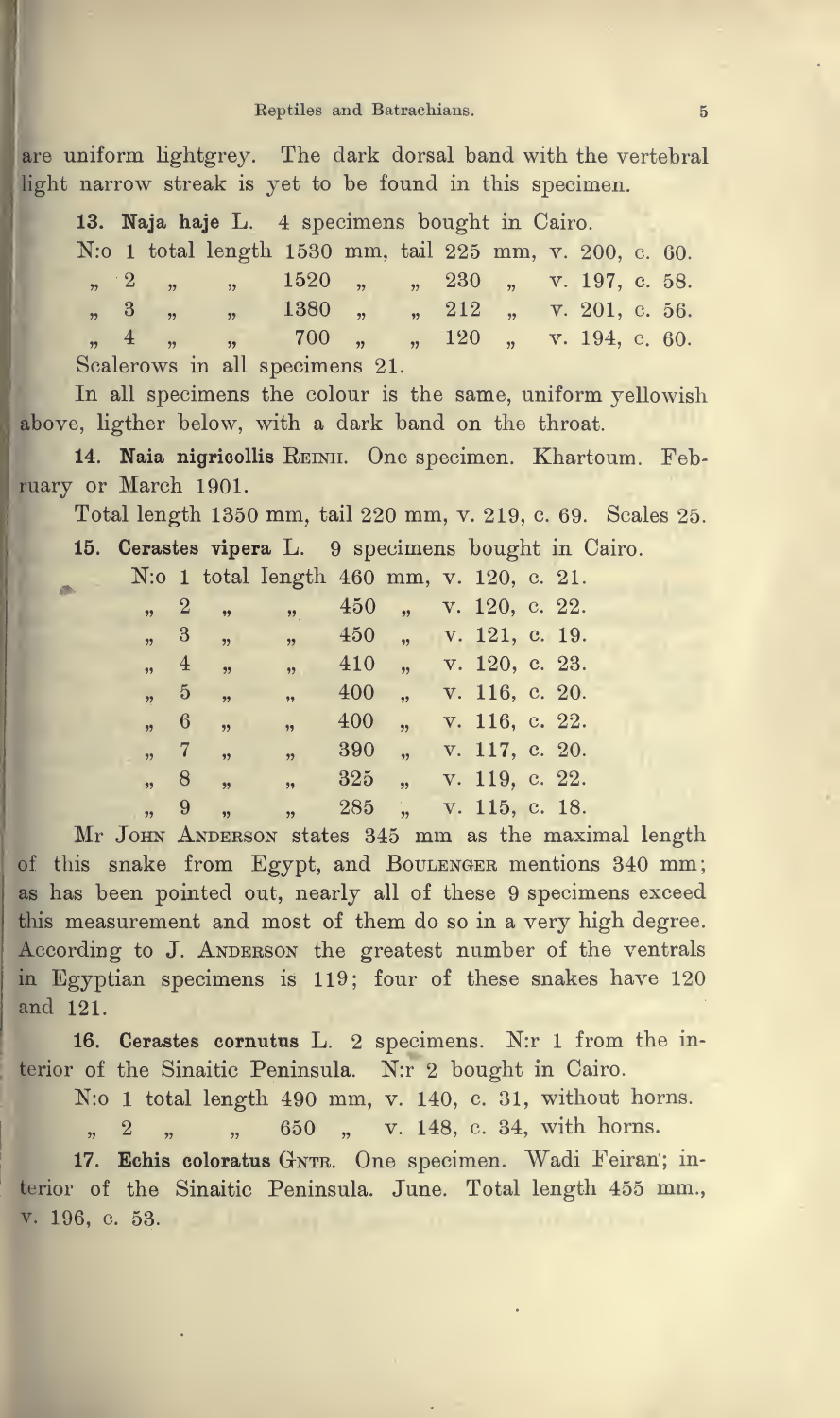#### Reptiles and Batrachians. 5

are uniform lightgrey. The dark dorsal band with the vertebral light narrow streak is yet to be found in this specimen.

13. Naja haje L. 4 specimens bought in Cairo. N:o 1 total length 1530 mm, tail 225 mm, v. 200, c. 60.  $\frac{1520}{1520}$  ,  $\frac{1520}{1520}$  ,  $\frac{230}{1520}$  ,  $\frac{197}{1520}$  c. 58.  $\frac{1380}{1380}$  ,  $\frac{1380}{1380}$  ,  $\frac{212}{1380}$  ,  $\frac{1201}{1360}$  ,  $\frac{1201}{1360}$  ,  $\frac{1201}{1360}$ 4 " " 700 " " 120 " v. 194, c. 60. Scalerows in all specimens 21.

In all specimens the colour is the same, uniform yellowish above, ligther below, with <sup>a</sup> dark band on the throat.

14. Naia nigricollis REINH. One specimen. Khartoum. February or March 1901.

Total length <sup>1350</sup> mm, tail <sup>220</sup> mm, v. 219, c 69. Scales 25.

15. Cerastes vipera L. <sup>9</sup> specimens bought in Cairo.

N:o 1 total length 460 mm, v. 120, c. 21.

| 450<br>, 2<br>$\rightarrow$<br>$55 -$                                  | v. 120, c. 22. |  |
|------------------------------------------------------------------------|----------------|--|
|                                                                        |                |  |
| , 3<br>450<br>$\overline{\mathbf{5}}$<br>$\overline{\mathbf{33}}$<br>, | v. 121, c. 19. |  |
| 410<br>, 4<br>,,<br>, 2<br>$\overline{\mathbf{1}}$                     | v. 120, c. 23. |  |
| 400<br>, 5<br>,<br>$\overline{\mathbf{1}}$                             | v. 116, c. 20. |  |
| 400<br>, 6<br>,<br>$\overline{\mathbf{1}}$<br>,,                       | v. 116, c. 22. |  |
| 390<br>$\sqrt{7}$<br>$\overline{\mathbf{33}}$<br>11<br>,               | v. 117, c. 20. |  |
| 325<br>, 8<br>,<br>$\overline{1}$<br>,                                 | v. 119, c. 22. |  |
| 285<br>,, 9<br>$\frac{1}{2}$<br>,<br>$\overline{\phantom{a}}$          | v. 115, c. 18. |  |

Mr JOHN ANDERSON states 345 mm as the maximal length of this snake from Egypt, and BOULENGER mentions 340 mm; as has been pointed out, nearly all of these 9 specimens exceed this measurement and most of them do so in a very high degree. According to J. ANDERSON the greatest number of the ventrals in Egyptian specimens is 119; four of these snakes have 120 and 121.

16. Cerastes cornutus L. 2 specimens. N:r 1 from the interior of the Sinaitic Peninsula. N:r 2 bought in Cairo.

N:o 1 total length 490 mm, v. 140, c. 31, without horns.

650 " v. 148, c. 34, with horns.  $\overline{2}$  $\overline{1}$  $\overline{\phantom{a}}$  $\overline{\mathbf{32}}$ 

17. Echis coloratus GNTR. One specimen. Wadi Feiran; interior of the Sinaitic Peninsula. June. Total length 455 mm., v. 196, c. 53.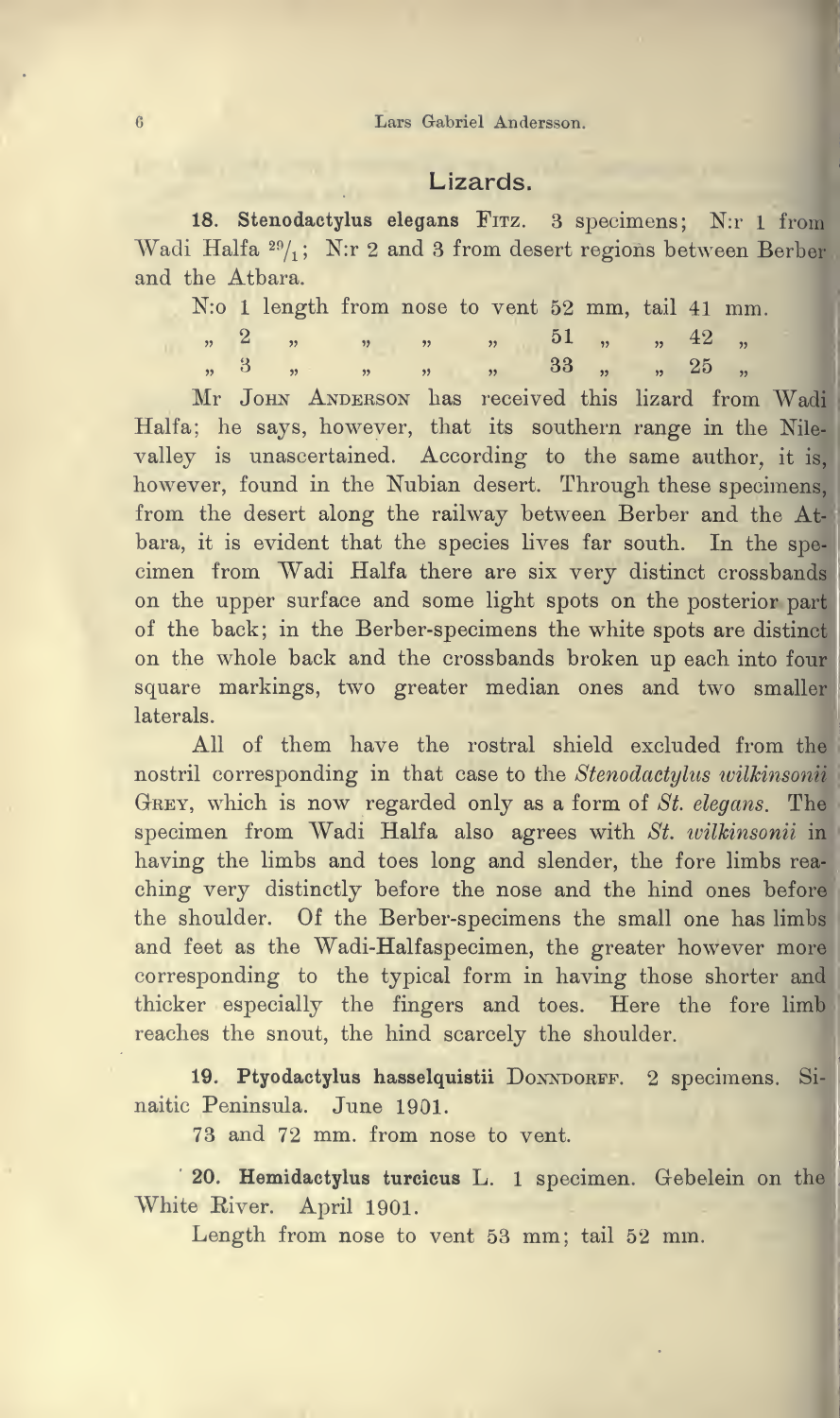### Lizards.

18. Stenodactylus elegans Fitz. 3 specimens; N:r <sup>1</sup> from Wadi Halfa  $\frac{29}{1}$ ; N:r 2 and 3 from desert regions between Berber and the Atbara.

N:o <sup>1</sup> length from nose to vent <sup>52</sup> mm, tail <sup>41</sup> mm.

|  | $n^{2}$ $n^{2}$ $n^{2}$ $n^{2}$ $n^{2}$ $n^{2}$ $n^{2}$ $n^{2}$ $n^{2}$ $n^{2}$ $n^{2}$ $n^{2}$ $n^{2}$ |  |  |  |  |
|--|---------------------------------------------------------------------------------------------------------|--|--|--|--|
|  | $n \quad 3 \quad n \quad n \quad n \quad n \quad 33 \quad n \quad n \quad 25 \quad n$                   |  |  |  |  |

Mr JOHN ANDERSON has received this lizard from Wadi Halfa; he says, however, that its southern range in the Nilevalley is unascertained. According to the same author, it is, however, found in the Nubian desert. Through these specimens, from the desert along the railway between Berber and the A bara, it is evident that the species lives far south. In the specimen from Wadi Halfa there are six very distinct crossbands on the upper surface and some light spots on the posterior part of the back; in the Berber-specimens the white spots are distin on the whole back and the crossbands broken up each into fou square markings, two greater median ones and two smalle laterals.

All of them have the rostral shield excluded from the nostril corresponding in that case to the Stenodactylus wilkinsonii GREY, which is now regarded only as a form of  $St.$  elegans. The specimen from Wadi Halfa also agrees with St. wilkinsonii in having the limbs and toes long and slender, the fore limbs rea ching very distinctly before the nose and the hind ones befor the shoulder. Of the Berber-specimens the small one has limb and feet as the Wadi-Halfaspecimen, the greater however mor corresponding to the typical form in having those shorter and thicker especially the fingers and toes. Here the fore limb reaches the snout, the hind scarcely the shoulder.

19. Ptyodactylus hasselquistii DONNDORFF. 2 specimens. Sinaitic Peninsula. June 1901.

73 and 72 mm. from nose to vent.

20. Hemidactylus turcicus L. 1 specimen. Gebelein on the White Eiver. April 1901.

Length from nose to vent <sup>53</sup> mm; tail <sup>52</sup> mm.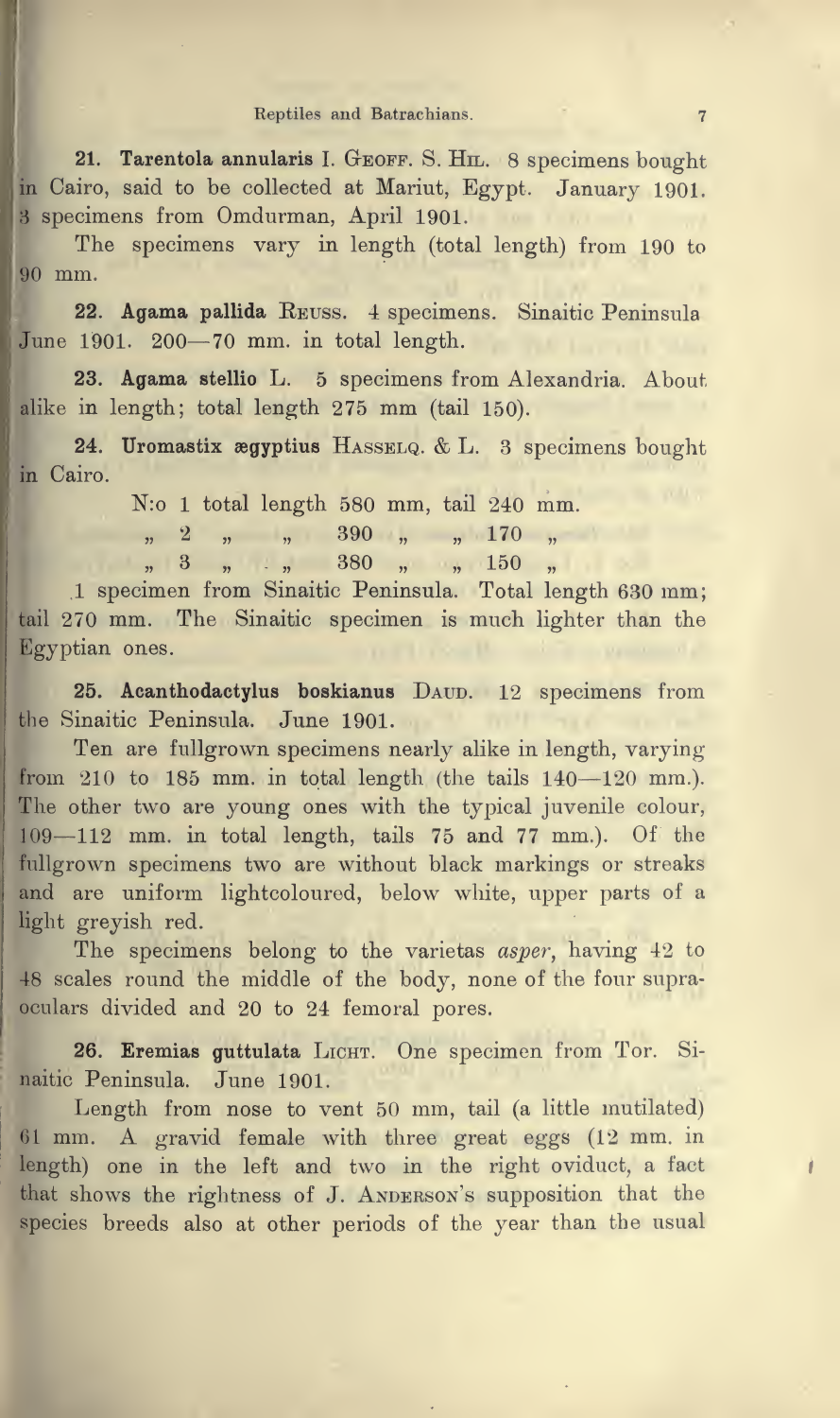#### Reptiles and Batrachians. 7

21. Tarentola annularis I. GEOFF. S. HIL. 8 specimens bought in Cairo, said to be collected at Mariut, Egypt. January 1901. <sup>3</sup> specimens from Omdurman, April 1901.

The specimens vary in length (total length) from <sup>190</sup> to 90 mm.

22. Agama pallida Eeuss. 4 specimens. Sinaitic Peninsula June 1901. <sup>200</sup>—<sup>70</sup> mm. in total length.

23. Agama stellio L. <sup>5</sup> specimens from Alexandria. About alike in length; total length <sup>275</sup> mm (tail 150).

24. Uromastix aegyptius Hasselq. & L. <sup>3</sup> specimens bought in Cairo.

N:o <sup>1</sup> total length 580 mm, tail 240 mm.

 $\frac{1}{n}$  2  $\frac{1}{n}$   $\frac{1}{n}$  390  $\frac{1}{n}$   $\frac{170}{n}$   $\frac{170}{n}$ 

 $\frac{3}{2}$  , 3, 4, 380 , 150 ,

<sup>1</sup> specimen from Sinaitic Peninsula. Total length 630 mm; tail <sup>270</sup> mm. The Sinaitic specimen is much lighter than the Egyptian ones.

25. Acanthodactylus boskianus DAUD. 12 specimens from the Sinaitic Peninsula. June 1901.

Ten are fullgrown specimens nearly alike in length, varying from <sup>210</sup> to <sup>185</sup> mm. in total length (the tails <sup>140</sup>—<sup>120</sup> mm.). The other two are young ones with the typical juvenile colour, <sup>109</sup>—<sup>112</sup> mm. in total length, tails <sup>75</sup> and <sup>77</sup> mm.). Of the fullgrown specimens two are without black markings or streaks and are uniform lightcoloured, below white, upper parts of <sup>a</sup> light greyish red.

The specimens belong to the varietas asper, having 42 to <sup>48</sup> scales round the middle of the body, none of the four supraoculars divided and 20 to 24 femoral pores.

26. Eremias guttulata LICHT. One specimen from Tor. Sinaitic Peninsula. June 1901.

Length from nose to vent 50 mm, tail (a little mutilated) <sup>61</sup> mm. A gravid female with three great eggs (12 mm. in length) one in the left and two in the right oviduct, <sup>a</sup> fact that shows the rightness of J. Anderson's supposition that the species breeds also at other periods of the year than the usual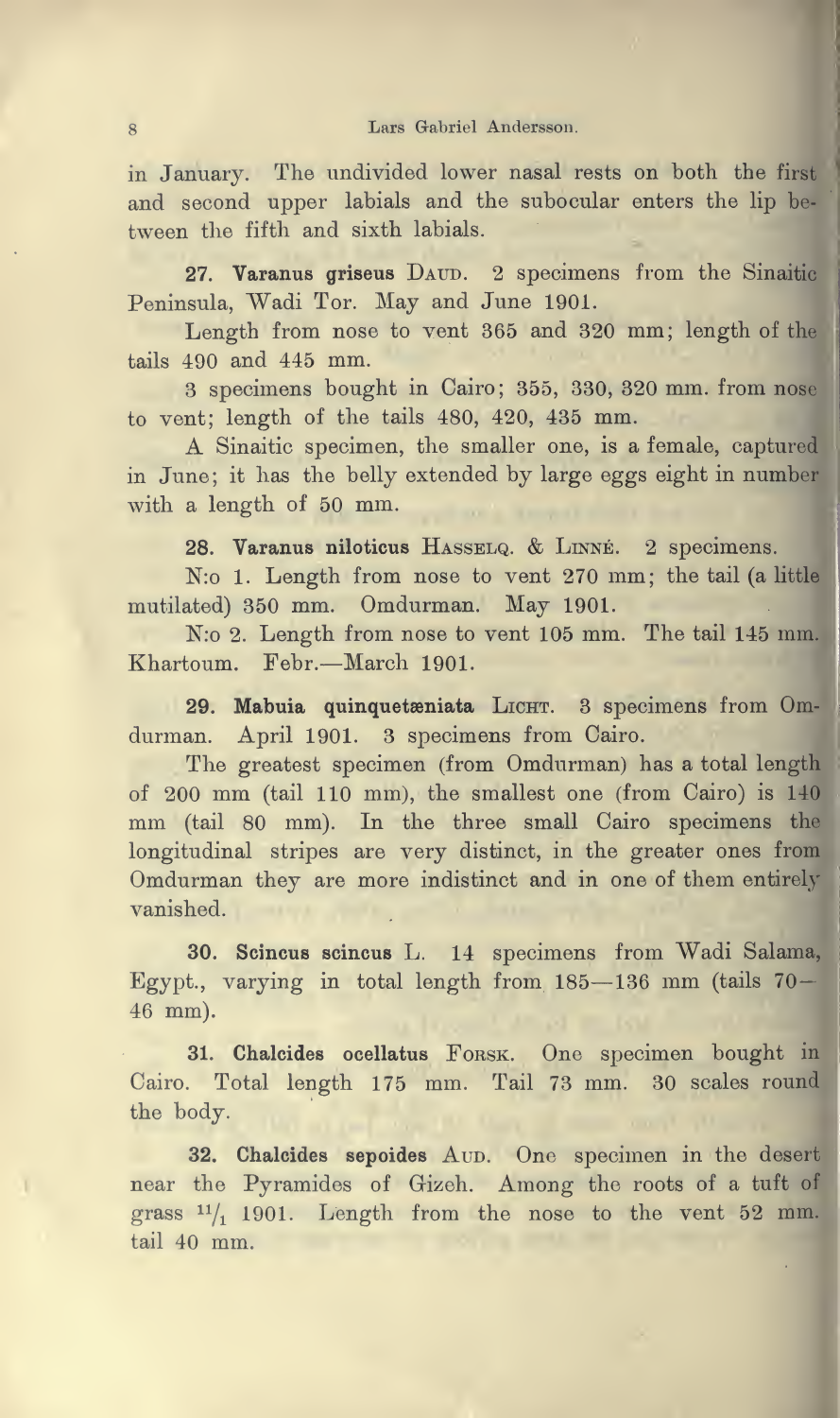in January. The undivided lower nasal rests on both the first and second upper labials and the subocular enters the lip be tween the fifth and sixth labials.

27. Varanus griseus DAUD. 2 specimens from the Sinaitic Peninsula, Wadi Tor. May and June 1901.

Length from nose to vent <sup>365</sup> and <sup>320</sup> mm; length of the tails 490 and 445 mm.

<sup>3</sup> specimens bought in Cairo; 355, 330, <sup>320</sup> mm. from nose to vent; length of the tails 480, 420, <sup>435</sup> mm.

A Sinaitic specimen, the smaller one, is <sup>a</sup> female, captured in June; it has the belly extended by large eggs eight in number with <sup>a</sup> length of <sup>50</sup> mm.

28. Varanus niloticus Hasselq. & Linne. <sup>2</sup> specimens.

N:o 1. Length from nose to vent 270 mm; the tail (a little mutilated) <sup>350</sup> mm. Omdurman. May 1901.

N:o 2. Length from nose to vent <sup>105</sup> mm. The tail <sup>145</sup> mm Khartoum. Febr.—March 1901.

29. Mabuia quinquetæniata LICHT. 3 specimens from Omdurman. April 1901. <sup>3</sup> specimens from Cairo.

The greatest specimen (from Omdurman) has <sup>a</sup> total length of <sup>200</sup> mm (tail <sup>110</sup> mm), the smallest one (from Cairo) is <sup>140</sup> mm (tail 80 mm). In the three small Cairo specimens the longitudinal stripes are very distinct, in the greater ones from Omdurman they are more indistinct and in one of them entirely vanished.

30. Scincus scincus L. <sup>14</sup> specimens from Wadi Salama, Egypt., varying in total length from  $185-136$  mm (tails  $70-$ 46 mm).

31. Chalcides ocellatus FORSK. One specimen bought in Cairo. Total length 175 mm. Tail 73 mm. 30 scales round the body.

32. Chalcides sepoides Aup. One specimen in the desert near the Pyramides of Gizeh. Among the roots of <sup>a</sup> tuft oi grass  $\frac{11}{1}$  1901. Length from the nose to the vent 52 mm. tail 40 mm.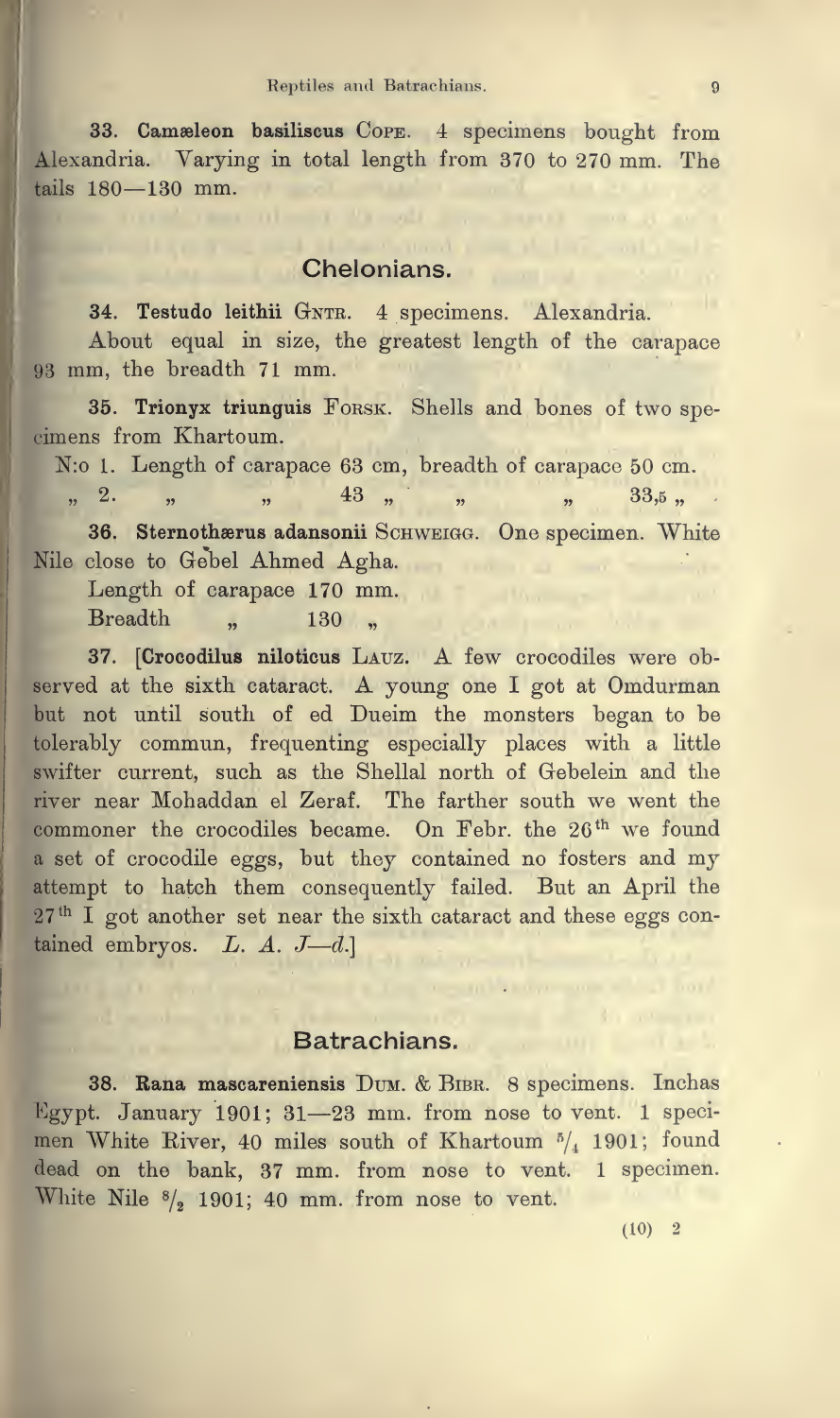33. Camæleon basiliscus Cope. 4 specimens bought from Alexandria. Varying in total length from 370 to 270 mm. The tails 180—130 mm.

# Chelonians.

and the program of the company of the contribution

34. Testudo leithii GNTR. 4 specimens. Alexandria.

About equal in size, the greatest length of the carapace <sup>93</sup> mm, the breadth <sup>71</sup> mm.

35. Trionyx triunguis Forsk. Shells and bones of two spe cimens from Khartoum.

N:o 1. Length of carapace 63 cm, breadth of carapace 50 cm.<br>
,, 2. ,,  $\begin{array}{ccc} 43 & , & \text{ } \\ 43 & , & \text{ } \\ 43 & , & \text{ } \\ 43 & , & \text{ } \\ 43 & , & \text{ } \\ \end{array}$  $n^2$ .  $\frac{1}{n}$   $\frac{1}{2}$   $\frac{1}{3}$   $\frac{1}{2}$   $\frac{1}{2}$   $\frac{1}{3}$   $\frac{1}{2}$   $\frac{1}{2}$   $\frac{1}{2}$   $\frac{1}{2}$   $\frac{1}{2}$   $\frac{1}{2}$   $\frac{1}{2}$   $\frac{1}{2}$   $\frac{1}{2}$   $\frac{1}{2}$   $\frac{1}{2}$   $\frac{1}{2}$   $\frac{1}{2}$   $\frac{1}{2}$   $\frac{1}{2}$   $\frac{1}{2}$ 

36. Sternothærus adansonii SCHWEIGG. One specimen. White Nile close to Gebel Ahmed Agha.<br>Length of carapace 170 mm.

Length of carapace <sup>170</sup> mm. Breadth " 130 "

the City of the top and head

37. [Crocodilus niloticus Lauz. A few crocodiles were observed at the sixth cataract. A young one <sup>I</sup> got at Omdurman but not until south of ed Dueim the monsters began to be tolerably commun, frequenting especially places with a little swifter current, such as the Shellal north of Gebelein and the river near Mohaddan el Zeraf. The farther south we went the commoner the crocodiles became. On Febr. the 26<sup>th</sup> we found <sup>a</sup> set of crocodile eggs, but they contained no fosters and my attempt to hatch them consequently failed. But an April the 27<sup>th</sup> I got another set near the sixth cataract and these eggs contained embryos. L. A.  $J-d$ .]

## **Batrachians.**

and the commission of the contract of the contract of the contract of the contract of

38. Rana mascareniensis Dum. & Bibr. <sup>8</sup> specimens. Inchas Egypt. January 1901; <sup>31</sup>—<sup>23</sup> mm. from nose to vent. <sup>1</sup> specimen White River, 40 miles south of Khartoum  $\frac{5}{4}$  1901; found dead on the bank, <sup>37</sup> mm. from nose to vent. <sup>1</sup> specimen. White Nile  $\frac{8}{2}$  1901; 40 mm. from nose to vent.

 $(10)$  2

and the common states of the common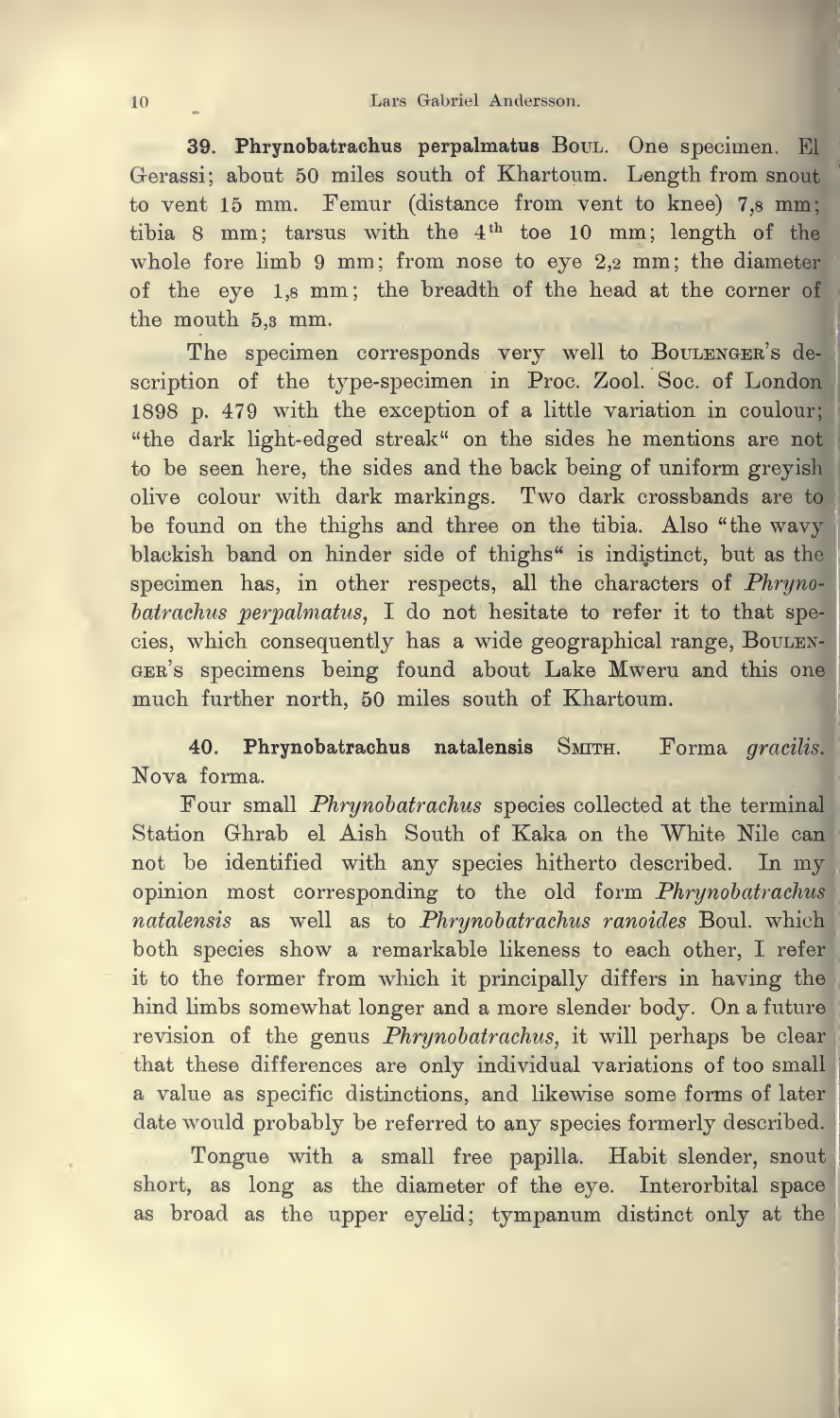39. Phrynobatrachus perpalmatus Boul. One specimen. El Gerassi; about 50 miles south of Khartoum. Length from snout to vent <sup>15</sup> mm. Femur (distance from vent to knee) 7,8 mm; tibia 8 mm; tarsus with the 4<sup>th</sup> toe 10 mm; length of the whole fore limb <sup>9</sup> mm; from nose to eye 2,2 mm; the diameter of the eye 1,8 mm; the breadth of the head at the corner of the mouth 5,3 mm.

i 1898 p. 479 with the exception of <sup>a</sup> little variation in coulour; The specimen corresponds very well to Boulenger's description of the type-specimen in Proc. Zool. Soc. of London "the dark light-edged streak" on the sides he mentions are not to be seen here, the sides and the back being of uniform greyish olive colour with dark markings. Two dark crossbands are to be found on the thighs and three on the tibia. Also "the wavy blackish band on hinder side of thighs" is indistinct, but as the specimen has, in other respects, all the characters of Phrynobatrachus perpalmatus, <sup>I</sup> do not hesitate to refer it to that spe cies, which consequently has a wide geographical range, BouLENger's specimens being found about Lake Mweru and this one much further north, 50 miles south of Khartoum.

40. Phrynobatrachus natalensis Smith. Forma gracilis. Nova forma.

Four small Phrynobatrachus species collected at the termina Station Ghrab el Aish South of Kaka on the White Nile can not be identified with any species hitherto described. In my opinion most corresponding to the old form Phrynobatrachus natalensis as well as to Phrynobatrachus ranoides Boul. which both species show a remarkable likeness to each other, I refer it to the former from which it principally differs in having the hind limbs somewhat longer and <sup>a</sup> more slender body. On <sup>a</sup> future revision of the genus Phrynobatrachus, it will perhaps be clear that these differences are only individual variations of too smal a value as specific distinctions, and likewise some forms of later date would probably be referred to any species formerly described.

Tongue with <sup>a</sup> small free papilla. Habit slender, snout short, as long as the diameter of the eye. Interorbital space as broad as the upper eyelid; tympanum distinct only at the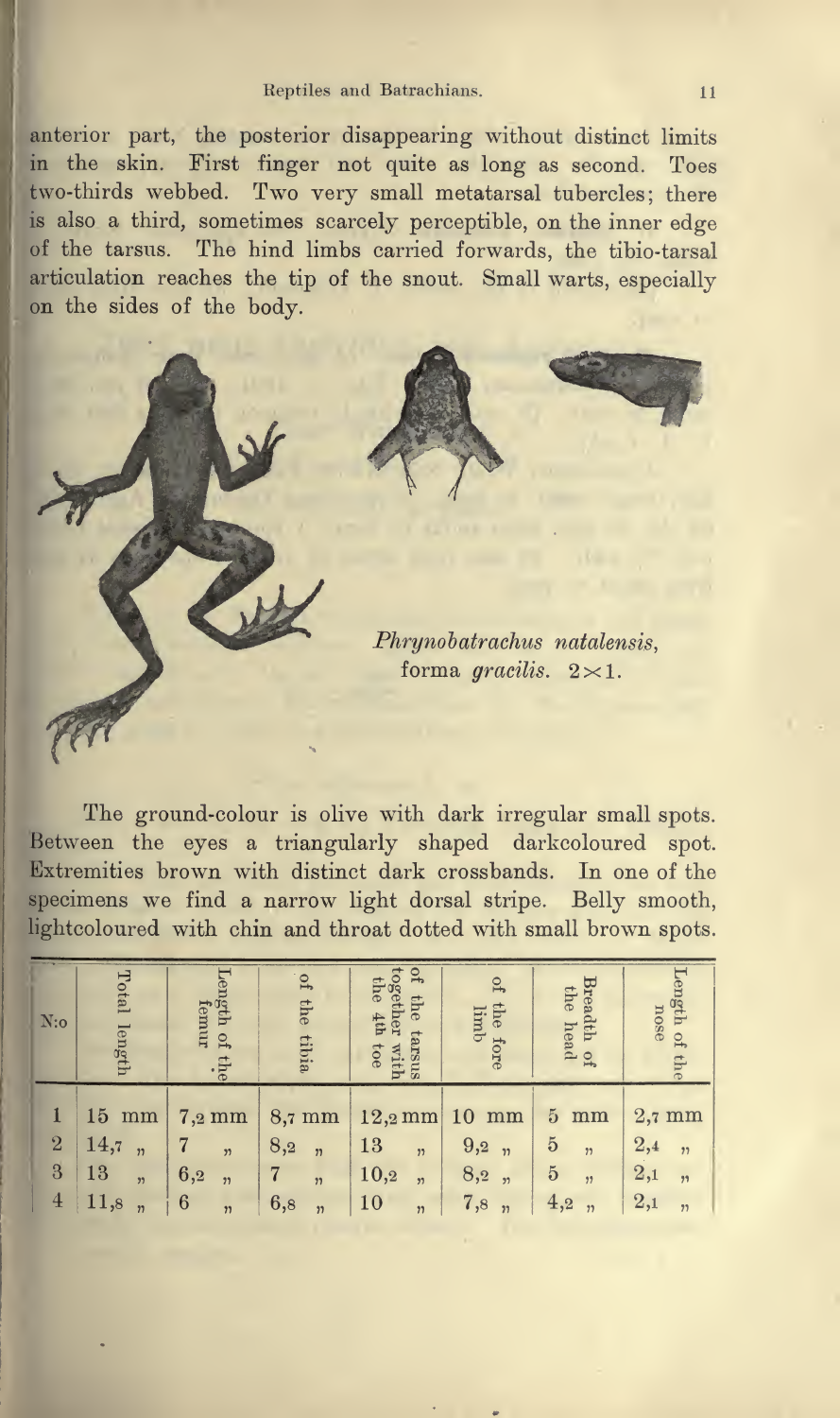#### Reptiles and Batrachians. 11

anterior part, the posterior disappearing without distinct limits in the skin. First finger not quite as long as second. Toes two-thirds webbed. Two very small metatarsal tubercles; there is also <sup>a</sup> third, sometimes scarcely perceptible, on the inner edge of the tarsus. The hind limbs carried forwards, the tibio-tarsal articulation reaches the tip of the snout. Small warts, especially on the sides of the body.



The ground-colour is olive with dark irregular small spots. Between the eyes <sup>a</sup> triangularly shaped darkcoloured spot. Extremities brown with distinct dark crossbands. In one of the specimens we find <sup>a</sup> narrow light dorsal stripe. Belly smooth, lightcoloured with chin and throat dotted with small brown spots.

| $N$ :0                                | Total<br>length                                             | Length of<br>femur<br>$\overline{5}$<br>the.                                  | p1<br>the<br>tibia                                                                       | $\Omega_{\rm t}$<br>1086<br>ether<br><b>the</b><br>Tip<br>tarsus<br>toe<br>with | $\overline{f}$<br>the<br>limb<br>fore                                 | Breadth of<br>the head                                                  | ${\tt Length}$<br>nose<br>$\overline{\mathbf{r}}$            |  |
|---------------------------------------|-------------------------------------------------------------|-------------------------------------------------------------------------------|------------------------------------------------------------------------------------------|---------------------------------------------------------------------------------|-----------------------------------------------------------------------|-------------------------------------------------------------------------|--------------------------------------------------------------|--|
| $\overline{2}$<br>3<br>$\overline{4}$ | $15 \text{ mm}$<br>14,7<br>, 2<br>13<br>, 22<br>11,8<br>, 2 | $7,2 \text{ mm}$<br>$\overline{2}$<br>6,2<br>, 2)<br>$\boldsymbol{6}$<br>, 2) | $8,7 \text{ mm}$<br>8,2<br>$\overline{\mathbf{v}}$<br>7<br>, 7<br>6,8<br>$\overline{22}$ | $12,2 \text{ mm}$<br>13<br>, 2)<br>10,2<br>, 2<br>10<br>$\overline{\mathbf{v}}$ | $10 \text{ mm}$<br>9,2, n<br>8,2, n<br>7,8<br>$\overline{\mathbf{v}}$ | 5<br>mm<br>$\overline{5}$<br>, 2<br>$\overline{5}$<br>, 2<br>4,2<br>, 7 | $2,7 \text{ mm}$<br>2,4<br>,1<br>$^{2,1}$<br>,1<br>2,1<br>22 |  |